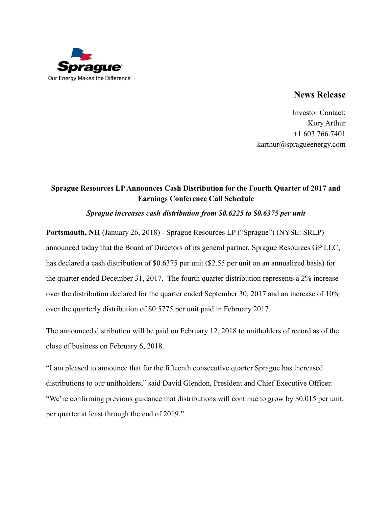

## **News Release**

Investor Contact: Kory Arthur +1 603.766.7401 karthur@spragueenergy.com

# **Sprague Resources LP Announces Cash Distribution for the Fourth Quarter of 2017 and Earnings Conference Call Schedule**

### *Sprague increases cash distribution from \$0.6225 to \$0.6375 per unit*

**Portsmouth, NH** (January 26, 2018) - Sprague Resources LP ("Sprague") (NYSE: SRLP) announced today that the Board of Directors of its general partner, Sprague Resources GP LLC, has declared a cash distribution of \$0.6375 per unit (\$2.55 per unit on an annualized basis) for the quarter ended December 31, 2017. The fourth quarter distribution represents a 2% increase over the distribution declared for the quarter ended September 30, 2017 and an increase of 10% over the quarterly distribution of \$0.5775 per unit paid in February 2017.

The announced distribution will be paid on February 12, 2018 to unitholders of record as of the close of business on February 6, 2018.

"I am pleased to announce that for the fifteenth consecutive quarter Sprague has increased distributions to our unitholders," said David Glendon, President and Chief Executive Officer. "We're confirming previous guidance that distributions will continue to grow by \$0.015 per unit, per quarter at least through the end of 2019."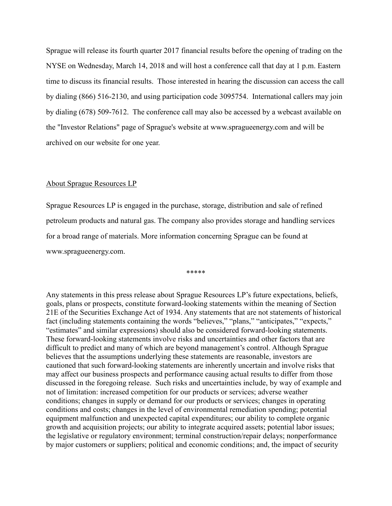Sprague will release its fourth quarter 2017 financial results before the opening of trading on the NYSE on Wednesday, March 14, 2018 and will host a conference call that day at 1 p.m. Eastern time to discuss its financial results. Those interested in hearing the discussion can access the call by dialing (866) 516-2130, and using participation code 3095754. International callers may join by dialing (678) 509-7612. The conference call may also be accessed by a webcast available on the "Investor Relations" page of Sprague's website at www.spragueenergy.com and will be archived on our website for one year.

#### About Sprague Resources LP

Sprague Resources LP is engaged in the purchase, storage, distribution and sale of refined petroleum products and natural gas. The company also provides storage and handling services for a broad range of materials. More information concerning Sprague can be found at www.spragueenergy.com.

\*\*\*\*\*

Any statements in this press release about Sprague Resources LP's future expectations, beliefs, goals, plans or prospects, constitute forward-looking statements within the meaning of Section 21E of the Securities Exchange Act of 1934. Any statements that are not statements of historical fact (including statements containing the words "believes," "plans," "anticipates," "expects," "estimates" and similar expressions) should also be considered forward-looking statements. These forward-looking statements involve risks and uncertainties and other factors that are difficult to predict and many of which are beyond management's control. Although Sprague believes that the assumptions underlying these statements are reasonable, investors are cautioned that such forward-looking statements are inherently uncertain and involve risks that may affect our business prospects and performance causing actual results to differ from those discussed in the foregoing release. Such risks and uncertainties include, by way of example and not of limitation: increased competition for our products or services; adverse weather conditions; changes in supply or demand for our products or services; changes in operating conditions and costs; changes in the level of environmental remediation spending; potential equipment malfunction and unexpected capital expenditures; our ability to complete organic growth and acquisition projects; our ability to integrate acquired assets; potential labor issues; the legislative or regulatory environment; terminal construction/repair delays; nonperformance by major customers or suppliers; political and economic conditions; and, the impact of security